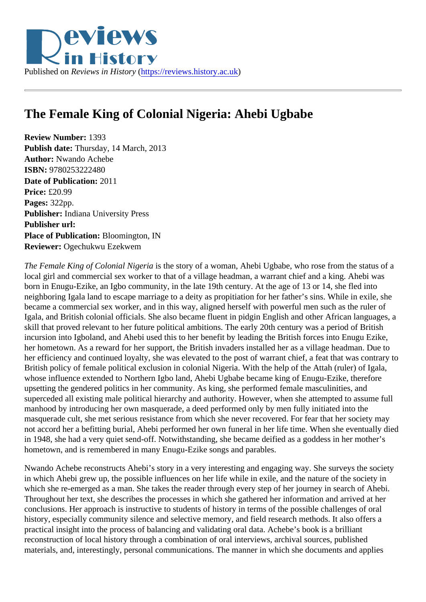## The Female King of Colonial Nigeria: Ahebi Ugbabe

Review Number: 1393 Publish date: Thursday, 14 March, 2013 Author: Nwando Achebe ISBN: 9780253222480 Date of Publication: 2011 Price: £20.99 Pages: 322pp. Publisher: Indiana University Press Publisher url: Place of Publication: Bloomington, IN Reviewer: Ogechukwu Ezekwem

The Female King of Colonial Nigeria the story of a woman, Ahebi Ugbabe, who rose from the status of a local girl and commercial sex worker to that of a village headman, a warrant chief and a king. Ahebi was born in Enugu-Ezike, an Igbo community, in the late 19th century. At the age of 13 or 14, she fled into neighboring Igala land to escape marriage to a deity as propitiation for her father's sins. While in exile, she became a commercial sex worker, and in this way, aligned herself with powerful men such as the ruler of Igala, and British colonial officials. She also became fluent in pidgin English and other African languages, skill that proved relevant to her future political ambitions. The early 20th century was a period of British incursion into Igboland, and Ahebi used this to her benefit by leading the British forces into Enugu Ezike, her hometown. As a reward for her support, the British invaders installed her as a village headman. Due to her efficiency and continued loyalty, she was elevated to the post of warrant chief, a feat that was contrary British policy of female political exclusion in colonial Nigeria. With the help of the Attah (ruler) of Igala, whose influence extended to Northern Igbo land, Ahebi Ugbabe became king of Enugu-Ezike, therefore upsetting the gendered politics in her community. As king, she performed female masculinities, and superceded all existing male political hierarchy and authority. However, when she attempted to assume fu manhood by introducing her own masquerade, a deed performed only by men fully initiated into the masquerade cult, she met serious resistance from which she never recovered. For fear that her society may not accord her a befitting burial, Ahebi performed her own funeral in her life time. When she eventually die in 1948, she had a very quiet send-off. Notwithstanding, she became deified as a goddess in her mother's hometown, and is remembered in many Enugu-Ezike songs and parables.

Nwando Achebe reconstructs Ahebi's story in a very interesting and engaging way. She surveys the society in which Ahebi grew up, the possible influences on her life while in exile, and the nature of the society in which she re-emerged as a man. She takes the reader through every step of her journey in search of Ahel Throughout her text, she describes the processes in which she gathered her information and arrived at her conclusions. Her approach is instructive to students of history in terms of the possible challenges of oral history, especially community silence and selective memory, and field research methods. It also offers a practical insight into the process of balancing and validating oral data. Achebe's book is a brilliant reconstruction of local history through a combination of oral interviews, archival sources, published materials, and, interestingly, personal communications. The manner in which she documents and applies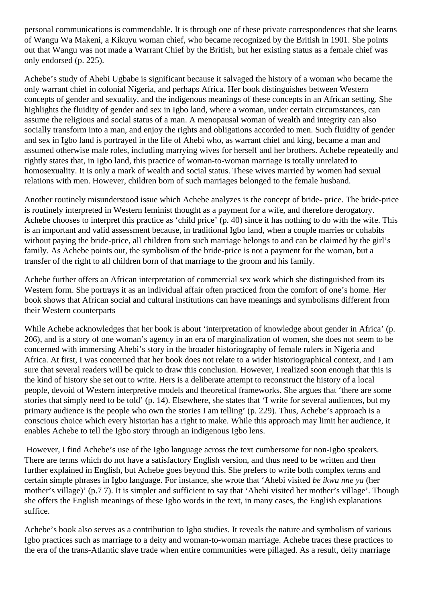personal communications is commendable. It is through one of these private correspondences that she learns of Wangu Wa Makeni, a Kikuyu woman chief, who became recognized by the British in 1901. She points out that Wangu was not made a Warrant Chief by the British, but her existing status as a female chief was only endorsed (p. 225).

Achebe's study of Ahebi Ugbabe is significant because it salvaged the history of a woman who became the only warrant chief in colonial Nigeria, and perhaps Africa. Her book distinguishes between Western concepts of gender and sexuality, and the indigenous meanings of these concepts in an African setting. She highlights the fluidity of gender and sex in Igbo land, where a woman, under certain circumstances, can assume the religious and social status of a man. A menopausal woman of wealth and integrity can also socially transform into a man, and enjoy the rights and obligations accorded to men. Such fluidity of gender and sex in Igbo land is portrayed in the life of Ahebi who, as warrant chief and king, became a man and assumed otherwise male roles, including marrying wives for herself and her brothers. Achebe repeatedly and rightly states that, in Igbo land, this practice of woman-to-woman marriage is totally unrelated to homosexuality. It is only a mark of wealth and social status. These wives married by women had sexual relations with men. However, children born of such marriages belonged to the female husband.

Another routinely misunderstood issue which Achebe analyzes is the concept of bride- price. The bride-price is routinely interpreted in Western feminist thought as a payment for a wife, and therefore derogatory. Achebe chooses to interpret this practice as 'child price' (p. 40) since it has nothing to do with the wife. This is an important and valid assessment because, in traditional Igbo land, when a couple marries or cohabits without paying the bride-price, all children from such marriage belongs to and can be claimed by the girl's family. As Achebe points out, the symbolism of the bride-price is not a payment for the woman, but a transfer of the right to all children born of that marriage to the groom and his family.

Achebe further offers an African interpretation of commercial sex work which she distinguished from its Western form. She portrays it as an individual affair often practiced from the comfort of one's home. Her book shows that African social and cultural institutions can have meanings and symbolisms different from their Western counterparts

While Achebe acknowledges that her book is about 'interpretation of knowledge about gender in Africa' (p. 206), and is a story of one woman's agency in an era of marginalization of women, she does not seem to be concerned with immersing Ahebi's story in the broader historiography of female rulers in Nigeria and Africa. At first, I was concerned that her book does not relate to a wider historiographical context, and I am sure that several readers will be quick to draw this conclusion. However, I realized soon enough that this is the kind of history she set out to write. Hers is a deliberate attempt to reconstruct the history of a local people, devoid of Western interpretive models and theoretical frameworks. She argues that 'there are some stories that simply need to be told' (p. 14). Elsewhere, she states that 'I write for several audiences, but my primary audience is the people who own the stories I am telling' (p. 229). Thus, Achebe's approach is a conscious choice which every historian has a right to make. While this approach may limit her audience, it enables Achebe to tell the Igbo story through an indigenous Igbo lens.

 However, I find Achebe's use of the Igbo language across the text cumbersome for non-Igbo speakers. There are terms which do not have a satisfactory English version, and thus need to be written and then further explained in English, but Achebe goes beyond this. She prefers to write both complex terms and certain simple phrases in Igbo language. For instance, she wrote that 'Ahebi visited *be ikwu nne ya* (her mother's village)' (p.7 7). It is simpler and sufficient to say that 'Ahebi visited her mother's village'. Though she offers the English meanings of these Igbo words in the text, in many cases, the English explanations suffice.

Achebe's book also serves as a contribution to Igbo studies. It reveals the nature and symbolism of various Igbo practices such as marriage to a deity and woman-to-woman marriage. Achebe traces these practices to the era of the trans-Atlantic slave trade when entire communities were pillaged. As a result, deity marriage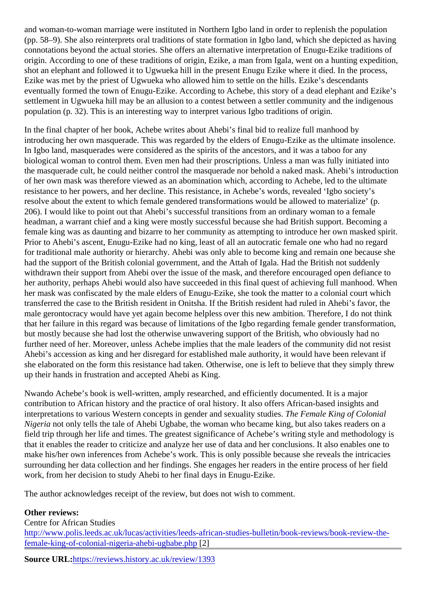and woman-to-woman marriage were instituted in Northern Igbo land in order to replenish the population (pp. 58–9). She also reinterprets oral traditions of state formation in Igbo land, which she depicted as having connotations beyond the actual stories. She offers an alternative interpretation of Enugu-Ezike traditions of origin. According to one of these traditions of origin, Ezike, a man from Igala, went on a hunting expedition shot an elephant and followed it to Ugwueka hill in the present Enugu Ezike where it died. In the process, Ezike was met by the priest of Ugwueka who allowed him to settle on the hills. Ezike's descendants eventually formed the town of Enugu-Ezike. According to Achebe, this story of a dead elephant and Ezike' settlement in Ugwueka hill may be an allusion to a contest between a settler community and the indigenous population (p. 32). This is an interesting way to interpret various Igbo traditions of origin.

In the final chapter of her book, Achebe writes about Ahebi's final bid to realize full manhood by introducing her own masquerade. This was regarded by the elders of Enugu-Ezike as the ultimate insolene In Igbo land, masquerades were considered as the spirits of the ancestors, and it was a taboo for any biological woman to control them. Even men had their proscriptions. Unless a man was fully initiated into the masquerade cult, he could neither control the masquerade nor behold a naked mask. Ahebi's introduc of her own mask was therefore viewed as an abomination which, according to Achebe, led to the ultimate resistance to her powers, and her decline. This resistance, in Achebe's words, revealed 'Igbo society's resolve about the extent to which female gendered transformations would be allowed to materialize' (p. 206). I would like to point out that Ahebi's successful transitions from an ordinary woman to a female headman, a warrant chief and a king were mostly successful because she had British support. Becoming a female king was as daunting and bizarre to her community as attempting to introduce her own masked spirit. Prior to Ahebi's ascent, Enugu-Ezike had no king, least of all an autocratic female one who had no regard for traditional male authority or hierarchy. Ahebi was only able to become king and remain one because she had the support of the British colonial government, and the Attah of Igala. Had the British not suddenly withdrawn their support from Ahebi over the issue of the mask, and therefore encouraged open defiance to her authority, perhaps Ahebi would also have succeeded in this final quest of achieving full manhood. When her mask was confiscated by the male elders of Enugu-Ezike, she took the matter to a colonial court which transferred the case to the British resident in Onitsha. If the British resident had ruled in Ahebi's favor, the male gerontocracy would have yet again become helpless over this new ambition. Therefore, I do not think that her failure in this regard was because of limitations of the Igbo regarding female gender transformation, but mostly because she had lost the otherwise unwavering support of the British, who obviously had no further need of her. Moreover, unless Achebe implies that the male leaders of the community did not resis Ahebi's accession as king and her disregard for established male authority, it would have been relevant if she elaborated on the form this resistance had taken. Otherwise, one is left to believe that they simply thre up their hands in frustration and accepted Ahebi as King.

Nwando Achebe's book is well-written, amply researched, and efficiently documented. It is a major contribution to African history and the practice of oral history. It also offers African-based insights and interpretations to various Western concepts in gender and sexuality studies emale King of Colonial Nigeria not only tells the tale of Ahebi Ugbabe, the woman who became king, but also takes readers on a field trip through her life and times. The greatest significance of Achebe's writing style and methodology is that it enables the reader to criticize and analyze her use of data and her conclusions. It also enables one make his/her own inferences from Achebe's work. This is only possible because she reveals the intricacie surrounding her data collection and her findings. She engages her readers in the entire process of her field work, from her decision to study Ahebi to her final days in Enugu-Ezike.

The author acknowledges receipt of the review, but does not wish to comment.

Other reviews: Centre for African Studies [http://www.polis.leeds.ac.uk/lucas/activities/leeds-african-studies-bulletin/book-reviews/book-revi](http://www.polis.leeds.ac.uk/lucas/activities/leeds-african-studies-bulletin/book-reviews/book-review-the-female-king-of-colonial-nigeria-ahebi-ugbabe.php)ew-the[female-king-of-colonial-nigeria-ahebi-ugbabe.p](http://www.polis.leeds.ac.uk/lucas/activities/leeds-african-studies-bulletin/book-reviews/book-review-the-female-king-of-colonial-nigeria-ahebi-ugbabe.php)hp

Source URL[:https://reviews.history.ac.uk/review/13](https://reviews.history.ac.uk/review/1393)93